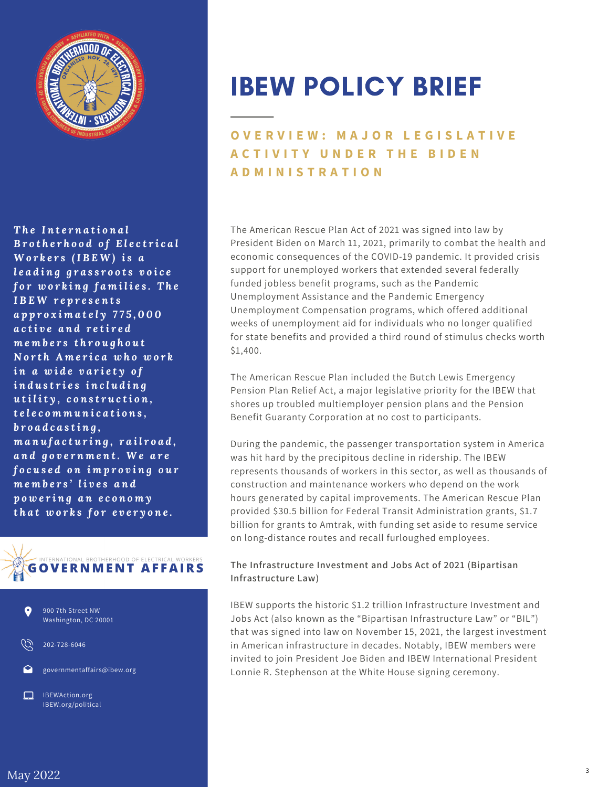

*T h e I n t e r n a ti o n a l B r o t h e r h o o d o f E l e c t r i c a l W o r k e r s (I B E W ) i s a l e a d i n g g r a s s r o o t s v o i c e f o r w o r k i n g f a m i l i e s . T h e I B E W r e p r e s e n t s a p p r o x i m a t e l y 7 7 5 , 0 0 0 a c ti v e a n d r e ti r e d m e m b e r s t h r o u g h o u t N o r t h A m e r i c a w h o w o r k i n a w i d e v a r i e t y o f i n d u s t r i e s i n c l u d i n g u ti l it y , c o n s t r u c ti o n , t e l e c o m m u n i c a ti o n s , b r o a d c a s ti n g , m a n u f a c t u r i n g , r a i l r o a d , a n d g o v e r n m e n t. W e a r e f o c u s e d o n i m p r o v i n g o u r m e m b e r s ' l i v e s a n d p o w e r i n g a n e c o n o m y t h a t w o r k s f o r e v e r y o n e .*





IBEW POLICY BRIEF

# **O V E R V I E W : M A J O R L E G I S L A T I V E A C T I V I T Y U N D E R T H E B I D E N A D M I N I S T R A T I O N**

The American Rescue Plan Act of 2021 was signed into law by President Biden on March 11, 2021, primarily to combat the health and economic consequences of the COVID-19 pandemic. It provided crisis support for unemployed workers that extended several federally funded jobless benefit programs, such as the Pandemic Unemployment Assistance and the Pandemic Emergency Unemployment Compensation programs, which offered additional weeks of unemployment aid for individuals who no longer qualified for state benefits and provided a third round of stimulus checks worth \$1,400.

The American Rescue Plan included the Butch Lewis Emergency Pension Plan Relief Act, a major legislative priority for the IBEW that shores up troubled multiemployer pension plans and the Pension Benefit Guaranty Corporation at no cost to participants.

During the pandemic, the passenger transportation system in America was hit hard by the precipitous decline in ridership. The IBEW represents thousands of workers in this sector, as well as thousands of construction and maintenance workers who depend on the work hours generated by capital improvements. The American Rescue Plan provided \$30.5 billion for Federal Transit Administration grants, \$1.7 billion for grants to Amtrak, with funding set aside to resume service on long-distance routes and recall furloughed employees.

### **The Infrastructure Investment and Jobs Act of 2021 (Bipartisan Infrastructure Law)**

IBEW supports the historic \$1.2 trillion Infrastructure Investment and Jobs Act (also known as the "Bipartisan Infrastructure Law" or "BIL") that was signed into law on November 15, 2021, the largest investment in American infrastructure in decades. Notably, IBEW members were invited to join President Joe Biden and IBEW International President Lonnie R. Stephenson at the White House signing ceremony.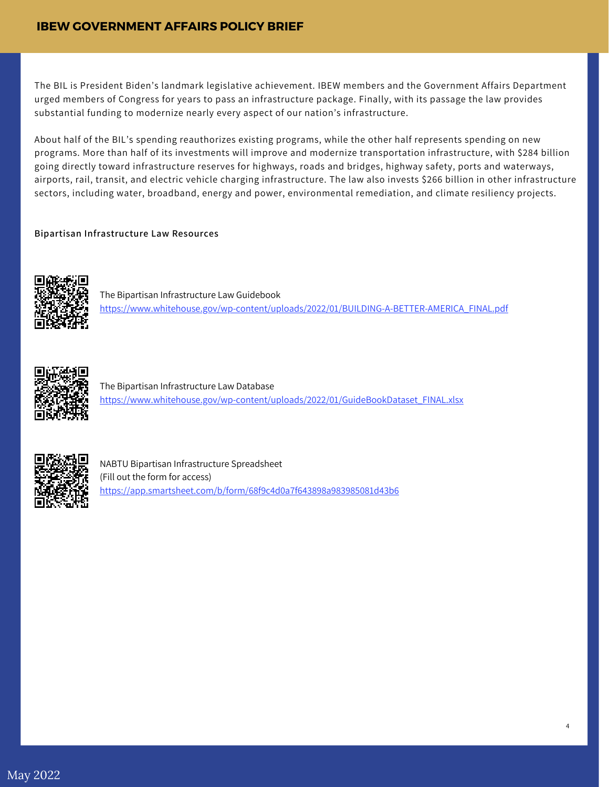## **IBEW GOVERNMENT AFFAIRS POLICY BRIEF**

The BIL is President Biden's landmark legislative achievement. IBEW members and the Government Affairs Department urged members of Congress for years to pass an infrastructure package. Finally, with its passage the law provides substantial funding to modernize nearly every aspect of our nation's infrastructure.

About half of the BIL's spending reauthorizes existing programs, while the other half represents spending on new programs. More than half of its investments will improve and modernize transportation infrastructure, with \$284 billion going directly toward infrastructure reserves for highways, roads and bridges, highway safety, ports and waterways, airports, rail, transit, and electric vehicle charging infrastructure. The law also invests \$266 billion in other infrastructure sectors, including water, broadband, energy and power, environmental remediation, and climate resiliency projects.

#### **Bipartisan Infrastructure Law Resources**



The Bipartisan Infrastructure Law Guidebook [https://www.whitehouse.gov/wp-content/uploads/2022/01/BUILDING-A-BETTER-AMERICA\\_FINAL.pdf](https://www.whitehouse.gov/wp-content/uploads/2022/01/BUILDING-A-BETTER-AMERICA_FINAL.pdf)

4



The Bipartisan Infrastructure Law Database [https://www.whitehouse.gov/wp-content/uploads/2022/01/GuideBookDataset\\_FINAL.xlsx](https://www.whitehouse.gov/wp-content/uploads/2022/01/BUILDING-A-BETTER-AMERICA_FINAL.pdf)



NABTU Bipartisan Infrastructure Spreadsheet (Fill out the form for access) <https://app.smartsheet.com/b/form/68f9c4d0a7f643898a983985081d43b6>